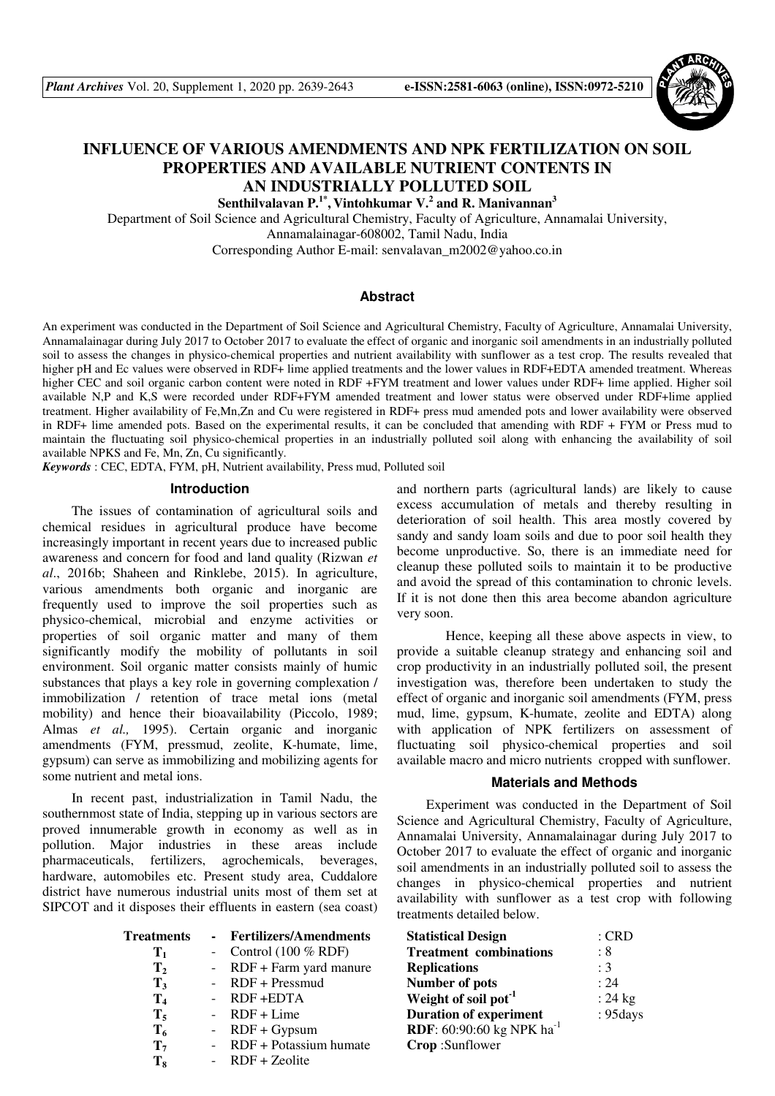

# **INFLUENCE OF VARIOUS AMENDMENTS AND NPK FERTILIZATION ON SOIL PROPERTIES AND AVAILABLE NUTRIENT CONTENTS IN AN INDUSTRIALLY POLLUTED SOIL**

**Senthilvalavan P.1\* , Vintohkumar V.<sup>2</sup> and R. Manivannan<sup>3</sup>** 

Department of Soil Science and Agricultural Chemistry, Faculty of Agriculture, Annamalai University, Annamalainagar-608002, Tamil Nadu, India Corresponding Author E-mail: senvalavan\_m2002@yahoo.co.in

#### **Abstract**

An experiment was conducted in the Department of Soil Science and Agricultural Chemistry, Faculty of Agriculture, Annamalai University, Annamalainagar during July 2017 to October 2017 to evaluate the effect of organic and inorganic soil amendments in an industrially polluted soil to assess the changes in physico-chemical properties and nutrient availability with sunflower as a test crop. The results revealed that higher pH and Ec values were observed in RDF+ lime applied treatments and the lower values in RDF+EDTA amended treatment. Whereas higher CEC and soil organic carbon content were noted in RDF +FYM treatment and lower values under RDF+ lime applied. Higher soil available N,P and K,S were recorded under RDF+FYM amended treatment and lower status were observed under RDF+lime applied treatment. Higher availability of Fe,Mn,Zn and Cu were registered in RDF+ press mud amended pots and lower availability were observed in RDF+ lime amended pots. Based on the experimental results, it can be concluded that amending with RDF + FYM or Press mud to maintain the fluctuating soil physico-chemical properties in an industrially polluted soil along with enhancing the availability of soil available NPKS and Fe, Mn, Zn, Cu significantly.

*Keywords* : CEC, EDTA, FYM, pH, Nutrient availability, Press mud, Polluted soil

#### **Introduction**

The issues of contamination of agricultural soils and chemical residues in agricultural produce have become increasingly important in recent years due to increased public awareness and concern for food and land quality (Rizwan *et al*., 2016b; Shaheen and Rinklebe, 2015). In agriculture, various amendments both organic and inorganic are frequently used to improve the soil properties such as physico-chemical, microbial and enzyme activities or properties of soil organic matter and many of them significantly modify the mobility of pollutants in soil environment. Soil organic matter consists mainly of humic substances that plays a key role in governing complexation / immobilization / retention of trace metal ions (metal mobility) and hence their bioavailability (Piccolo, 1989; Almas *et al.,* 1995). Certain organic and inorganic amendments (FYM, pressmud, zeolite, K-humate, lime, gypsum) can serve as immobilizing and mobilizing agents for some nutrient and metal ions.

In recent past, industrialization in Tamil Nadu, the southernmost state of India, stepping up in various sectors are proved innumerable growth in economy as well as in pollution. Major industries in these areas include pharmaceuticals, fertilizers, agrochemicals, beverages, hardware, automobiles etc. Present study area, Cuddalore district have numerous industrial units most of them set at SIPCOT and it disposes their effluents in eastern (sea coast)

| <b>Treatments</b> | - Fertilizers/Amendments | <b>Statistical Design</b>                     | $:$ CRD        |
|-------------------|--------------------------|-----------------------------------------------|----------------|
| $\mathbf{T}_1$    | - Control $(100\%$ RDF)  | <b>Treatment combinations</b>                 | $\therefore 8$ |
| T <sub>2</sub>    | - RDF + Farm yard manure | <b>Replications</b>                           | $\div 3$       |
| $\mathbf{T}_3$    | - RDF + Pressmud         | Number of pots                                | : 24           |
| $T_4$             | $-$ RDF +EDTA            | Weight of soil pot <sup>-1</sup>              | : 24 kg        |
| $T_5$             | - $RDF + Lime$           | <b>Duration of experiment</b>                 | $: 95$ day     |
| $T_6$             | - $RDF + Gypsum$         | <b>RDF</b> : 60:90:60 kg NPK ha <sup>-1</sup> |                |
| T <sub>7</sub>    | - RDF + Potassium humate | Crop:Sunflower                                |                |
| $T_8$             | - RDF + Zeolite          |                                               |                |
|                   |                          |                                               |                |

and northern parts (agricultural lands) are likely to cause excess accumulation of metals and thereby resulting in deterioration of soil health. This area mostly covered by sandy and sandy loam soils and due to poor soil health they become unproductive. So, there is an immediate need for cleanup these polluted soils to maintain it to be productive and avoid the spread of this contamination to chronic levels. If it is not done then this area become abandon agriculture very soon.

 Hence, keeping all these above aspects in view, to provide a suitable cleanup strategy and enhancing soil and crop productivity in an industrially polluted soil, the present investigation was, therefore been undertaken to study the effect of organic and inorganic soil amendments (FYM, press mud, lime, gypsum, K-humate, zeolite and EDTA) along with application of NPK fertilizers on assessment of fluctuating soil physico-chemical properties and soil available macro and micro nutrients cropped with sunflower.

#### **Materials and Methods**

Experiment was conducted in the Department of Soil Science and Agricultural Chemistry, Faculty of Agriculture, Annamalai University, Annamalainagar during July 2017 to October 2017 to evaluate the effect of organic and inorganic soil amendments in an industrially polluted soil to assess the changes in physico-chemical properties and nutrient availability with sunflower as a test crop with following treatments detailed below.

| - Fertilizers/Amendments | <b>Statistical Design</b>                     | $:$ CRD        |
|--------------------------|-----------------------------------------------|----------------|
| - Control $(100\%$ RDF)  | <b>Treatment combinations</b>                 | $\therefore 8$ |
| - RDF + Farm yard manure | <b>Replications</b>                           | :3             |
| - RDF + Pressmud         | Number of pots                                | : 24           |
| - RDF+EDTA               | Weight of soil pot <sup>-1</sup>              | : 24 kg        |
| - RDF + Lime             | <b>Duration of experiment</b>                 | : 95days       |
| - RDF + Gypsum           | <b>RDF</b> : 60:90:60 kg NPK ha <sup>-1</sup> |                |
| - RDF + Potassium humate | Crop:Sunflower                                |                |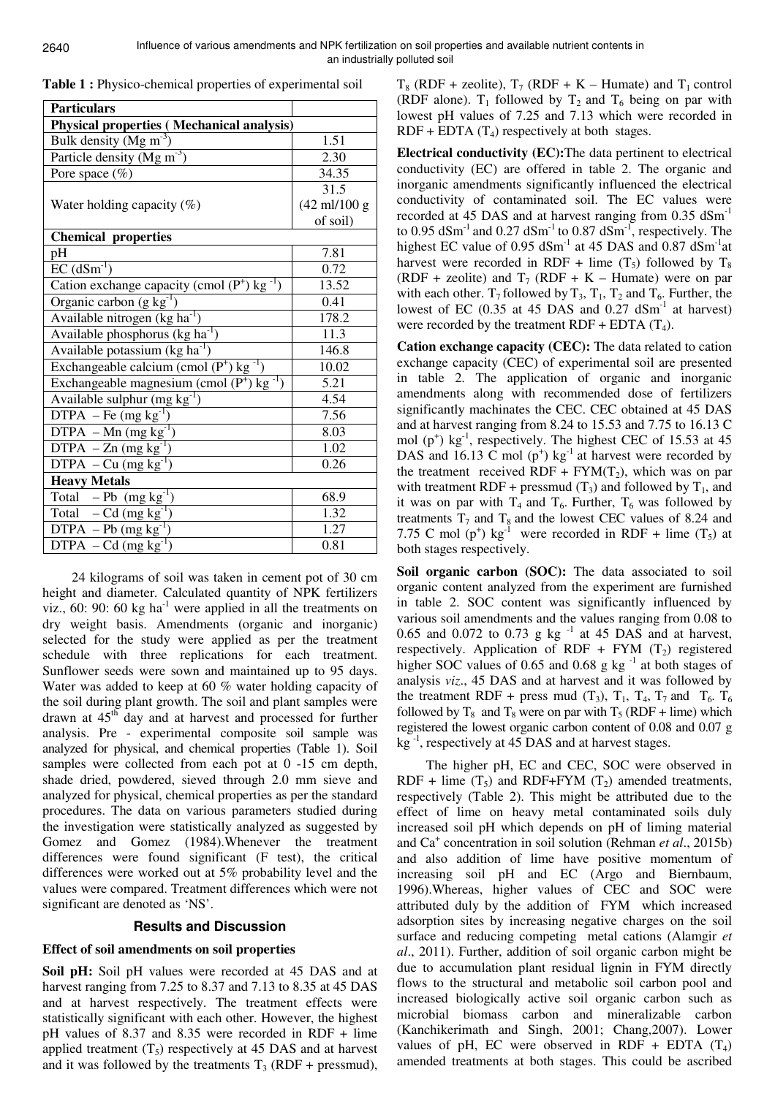| <b>Particulars</b>                                        |                                 |  |  |  |  |  |  |  |
|-----------------------------------------------------------|---------------------------------|--|--|--|--|--|--|--|
| <b>Physical properties (Mechanical analysis)</b>          |                                 |  |  |  |  |  |  |  |
| Bulk density (Mg $m^{-3}$ )                               | 1.51                            |  |  |  |  |  |  |  |
| Particle density ( $\overline{Mg\ m^3}$ )                 | 2.30                            |  |  |  |  |  |  |  |
| Pore space $(\%)$                                         | 34.35                           |  |  |  |  |  |  |  |
|                                                           | 31.5                            |  |  |  |  |  |  |  |
| Water holding capacity $(\%)$                             | $(42 \text{ ml}/100 \text{ g})$ |  |  |  |  |  |  |  |
|                                                           | of soil)                        |  |  |  |  |  |  |  |
| <b>Chemical properties</b>                                |                                 |  |  |  |  |  |  |  |
| pH                                                        | 7.81                            |  |  |  |  |  |  |  |
| $EC (dSm^{-1})$                                           | 0.72                            |  |  |  |  |  |  |  |
| Cation exchange capacity (cmol $(P^+)$ kg <sup>-1</sup> ) | 13.52                           |  |  |  |  |  |  |  |
| Organic carbon $(g kg^{-1})$                              | 0.41                            |  |  |  |  |  |  |  |
| Available nitrogen $(kg ha^{-1})$                         | 178.2                           |  |  |  |  |  |  |  |
| Available phosphorus $(kg ha^{-1})$                       | 11.3                            |  |  |  |  |  |  |  |
| Available potassium (kg ha <sup>-1</sup> )                | 146.8                           |  |  |  |  |  |  |  |
| Exchangeable calcium (cmol $(P^+)$ kg <sup>-1</sup> )     | 10.02                           |  |  |  |  |  |  |  |
| Exchangeable magnesium (cmol $(P^+)$ kg <sup>-1</sup> )   | 5.21                            |  |  |  |  |  |  |  |
| Available sulphur $(mg kg^{-1})$                          | 4.54                            |  |  |  |  |  |  |  |
| DTPA – Fe $(mg kg^{-1})$                                  | 7.56                            |  |  |  |  |  |  |  |
| DTPA – Mn $(mg kg^{-1})$                                  | 8.03                            |  |  |  |  |  |  |  |
| $DTPA - Zn (mg kg^{-1})$                                  | 1.02                            |  |  |  |  |  |  |  |
| DTPA $-$ Cu (mg kg <sup>-1</sup> )                        | 0.26                            |  |  |  |  |  |  |  |
| <b>Heavy Metals</b>                                       |                                 |  |  |  |  |  |  |  |
| Total $-Pb$ (mg kg <sup>-1</sup> )                        | 68.9                            |  |  |  |  |  |  |  |
| Total $-$ Cd (mg kg <sup>-1</sup> )                       | 1.32                            |  |  |  |  |  |  |  |
| DTPA – Pb $(mg kg^{-1})$                                  | 1.27                            |  |  |  |  |  |  |  |
| $DTPA - Cd (mg kg^{-1})$                                  | 0.81                            |  |  |  |  |  |  |  |

**Table 1 :** Physico-chemical properties of experimental soil

24 kilograms of soil was taken in cement pot of 30 cm height and diameter. Calculated quantity of NPK fertilizers viz.,  $60:90:60 \text{ kg ha}^{-1}$  were applied in all the treatments on dry weight basis. Amendments (organic and inorganic) selected for the study were applied as per the treatment schedule with three replications for each treatment. Sunflower seeds were sown and maintained up to 95 days. Water was added to keep at 60 % water holding capacity of the soil during plant growth. The soil and plant samples were drawn at 45<sup>th</sup> day and at harvest and processed for further analysis. Pre - experimental composite soil sample was analyzed for physical, and chemical properties (Table 1). Soil samples were collected from each pot at 0 -15 cm depth, shade dried, powdered, sieved through 2.0 mm sieve and analyzed for physical, chemical properties as per the standard procedures. The data on various parameters studied during the investigation were statistically analyzed as suggested by Gomez and Gomez (1984).Whenever the treatment differences were found significant (F test), the critical differences were worked out at 5% probability level and the values were compared. Treatment differences which were not significant are denoted as 'NS'.

#### **Results and Discussion**

#### **Effect of soil amendments on soil properties**

**Soil pH:** Soil pH values were recorded at 45 DAS and at harvest ranging from 7.25 to 8.37 and 7.13 to 8.35 at 45 DAS and at harvest respectively. The treatment effects were statistically significant with each other. However, the highest pH values of 8.37 and 8.35 were recorded in RDF + lime applied treatment  $(T_5)$  respectively at 45 DAS and at harvest and it was followed by the treatments  $T_3$  (RDF + pressmud),

 $T_8$  (RDF + zeolite),  $T_7$  (RDF + K – Humate) and  $T_1$  control (RDF alone).  $T_1$  followed by  $T_2$  and  $T_6$  being on par with lowest pH values of 7.25 and 7.13 which were recorded in  $RDF + EDTA (T<sub>4</sub>)$  respectively at both stages.

**Electrical conductivity (EC):**The data pertinent to electrical conductivity (EC) are offered in table 2. The organic and inorganic amendments significantly influenced the electrical conductivity of contaminated soil. The EC values were recorded at 45 DAS and at harvest ranging from 0.35 dSm-1 to 0.95 dSm<sup>-1</sup> and 0.27 dSm<sup>-1</sup> to 0.87 dSm<sup>-1</sup>, respectively. The highest EC value of 0.95 dSm<sup>-1</sup> at 45 DAS and 0.87 dSm<sup>-1</sup>at harvest were recorded in RDF + lime  $(T_5)$  followed by  $T_8$ (RDF + zeolite) and  $T_7$  (RDF + K – Humate) were on par with each other.  $T_7$  followed by  $T_3$ ,  $T_1$ ,  $T_2$  and  $T_6$ . Further, the lowest of EC  $(0.35 \text{ at } 45 \text{ DAS and } 0.27 \text{ dSm}^{-1}$  at harvest) were recorded by the treatment RDF + EDTA  $(T_4)$ .

**Cation exchange capacity (CEC):** The data related to cation exchange capacity (CEC) of experimental soil are presented in table 2. The application of organic and inorganic amendments along with recommended dose of fertilizers significantly machinates the CEC. CEC obtained at 45 DAS and at harvest ranging from 8.24 to 15.53 and 7.75 to 16.13 C mol  $(p^+)$  kg<sup>-1</sup>, respectively. The highest CEC of 15.53 at 45 DAS and 16.13 C mol  $(p^+)$  kg<sup>-1</sup> at harvest were recorded by the treatment received RDF +  $FYM(T_2)$ , which was on par with treatment RDF + pressmud  $(T_3)$  and followed by  $T_1$ , and it was on par with  $T_4$  and  $T_6$ . Further,  $T_6$  was followed by treatments  $T_7$  and  $T_8$  and the lowest CEC values of 8.24 and 7.75 C mol  $(p^+)$  kg<sup>-1</sup> were recorded in RDF + lime  $(T_5)$  at both stages respectively.

Soil organic carbon (SOC): The data associated to soil organic content analyzed from the experiment are furnished in table 2. SOC content was significantly influenced by various soil amendments and the values ranging from 0.08 to 0.65 and 0.072 to 0.73 g kg $^{-1}$  at 45 DAS and at harvest, respectively. Application of RDF + FYM  $(T<sub>2</sub>)$  registered higher SOC values of 0.65 and 0.68 g kg $^{-1}$  at both stages of analysis *viz*., 45 DAS and at harvest and it was followed by the treatment RDF + press mud  $(T_3)$ ,  $T_1$ ,  $T_4$ ,  $T_7$  and  $T_6$ .  $T_6$ followed by  $T_8$  and  $T_8$  were on par with  $T_5$  (RDF + lime) which registered the lowest organic carbon content of 0.08 and 0.07 g  $kg^{-1}$ , respectively at 45 DAS and at harvest stages.

The higher pH, EC and CEC, SOC were observed in RDF + lime  $(T_5)$  and RDF+FYM  $(T_2)$  amended treatments, respectively (Table 2). This might be attributed due to the effect of lime on heavy metal contaminated soils duly increased soil pH which depends on pH of liming material and Ca<sup>+</sup> concentration in soil solution (Rehman *et al.*, 2015b) and also addition of lime have positive momentum of increasing soil pH and EC (Argo and Biernbaum, 1996).Whereas, higher values of CEC and SOC were attributed duly by the addition of FYM which increased adsorption sites by increasing negative charges on the soil surface and reducing competing metal cations (Alamgir *et al*., 2011). Further, addition of soil organic carbon might be due to accumulation plant residual lignin in FYM directly flows to the structural and metabolic soil carbon pool and increased biologically active soil organic carbon such as microbial biomass carbon and mineralizable carbon (Kanchikerimath and Singh, 2001; Chang,2007). Lower values of pH, EC were observed in RDF + EDTA  $(T_4)$ amended treatments at both stages. This could be ascribed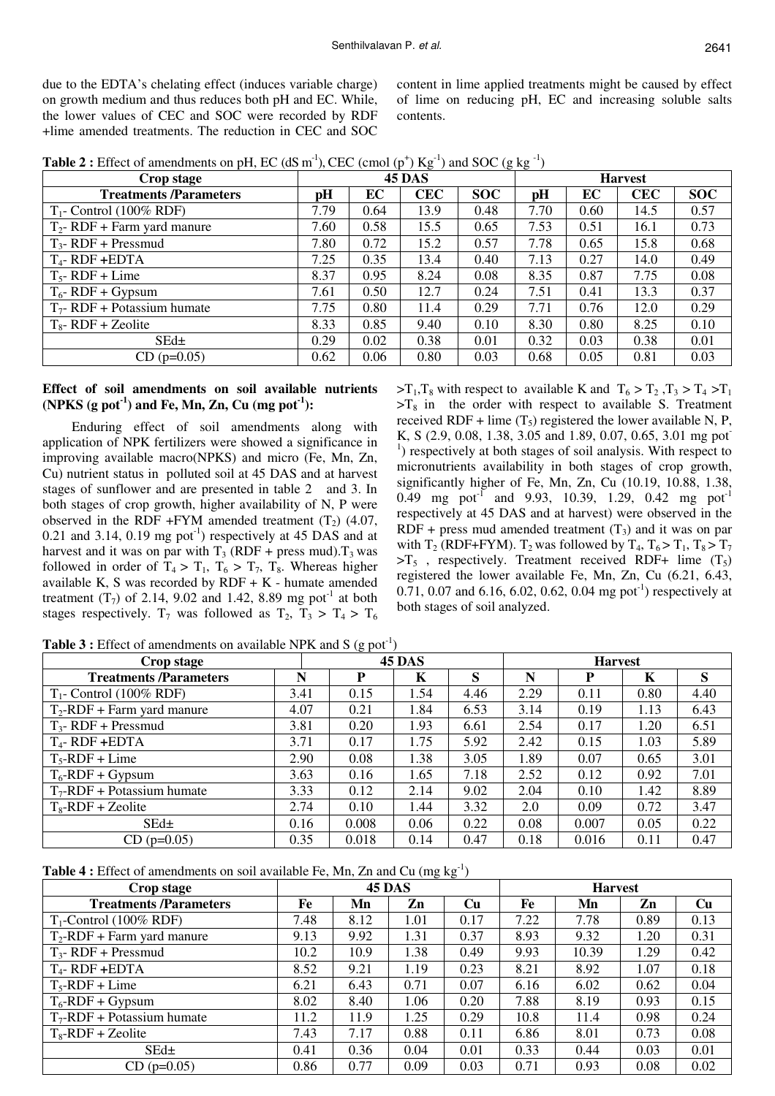due to the EDTA's chelating effect (induces variable charge) on growth medium and thus reduces both pH and EC. While, the lower values of CEC and SOC were recorded by RDF +lime amended treatments. The reduction in CEC and SOC content in lime applied treatments might be caused by effect of lime on reducing pH, EC and increasing soluble salts contents.

**Table 2 :** Effect of amendments on pH, EC (dS m<sup>-1</sup>), CEC (cmol ( $p^+$ ) Kg<sup>-1</sup>) and SOC (g kg<sup>-1</sup>)

| Crop stage                     | <b>45 DAS</b> |      |            |            | <b>Harvest</b> |      |            |            |
|--------------------------------|---------------|------|------------|------------|----------------|------|------------|------------|
| <b>Treatments /Parameters</b>  | pН            | EC   | <b>CEC</b> | <b>SOC</b> | pH             | EC   | <b>CEC</b> | <b>SOC</b> |
| $T_1$ - Control (100% RDF)     |               | 0.64 | 13.9       | 0.48       | 7.70           | 0.60 | 14.5       | 0.57       |
| $T_2$ - RDF + Farm yard manure | 7.60          | 0.58 | 15.5       | 0.65       | 7.53           | 0.51 | 16.1       | 0.73       |
| $T_3$ - RDF + Pressmud         | 7.80          | 0.72 | 15.2       | 0.57       | 7.78           | 0.65 | 15.8       | 0.68       |
| $T_4$ - RDF +EDTA              | 7.25          | 0.35 | 13.4       | 0.40       | 7.13           | 0.27 | 14.0       | 0.49       |
| $T_{5}$ - RDF + Lime           | 8.37          | 0.95 | 8.24       | 0.08       | 8.35           | 0.87 | 7.75       | 0.08       |
| $T_6$ - RDF + Gypsum           | 7.61          | 0.50 | 12.7       | 0.24       | 7.51           | 0.41 | 13.3       | 0.37       |
| $T_7$ - RDF + Potassium humate | 7.75          | 0.80 | 11.4       | 0.29       | 7.71           | 0.76 | 12.0       | 0.29       |
| $T_{8}$ - RDF + Zeolite        | 8.33          | 0.85 | 9.40       | 0.10       | 8.30           | 0.80 | 8.25       | 0.10       |
| $SEd\pm$                       | 0.29          | 0.02 | 0.38       | 0.01       | 0.32           | 0.03 | 0.38       | 0.01       |
| $CD (p=0.05)$                  |               | 0.06 | 0.80       | 0.03       | 0.68           | 0.05 | 0.81       | 0.03       |

#### **Effect of soil amendments on soil available nutrients**   $(NPKS (g pot<sup>-1</sup>)$  and Fe, Mn, Zn, Cu  $(mg pot<sup>-1</sup>)$ :

Enduring effect of soil amendments along with application of NPK fertilizers were showed a significance in improving available macro(NPKS) and micro (Fe, Mn, Zn, Cu) nutrient status in polluted soil at 45 DAS and at harvest stages of sunflower and are presented in table 2 and 3. In both stages of crop growth, higher availability of N, P were observed in the RDF +FYM amended treatment  $(T_2)$  (4.07, 0.21 and 3.14, 0.19 mg pot<sup>-1</sup>) respectively at 45 DAS and at harvest and it was on par with  $T_3$  (RDF + press mud). T<sub>3</sub> was followed in order of  $T_4 > T_1$ ,  $T_6 > T_7$ ,  $T_8$ . Whereas higher available K, S was recorded by  $RDF + K$  - humate amended treatment  $(T_7)$  of 2.14, 9.02 and 1.42, 8.89 mg pot<sup>-1</sup> at both stages respectively. T<sub>7</sub> was followed as T<sub>2</sub>, T<sub>3</sub> > T<sub>4</sub> > T<sub>6</sub>  $>T_1$ ,  $T_8$  with respect to available K and  $T_6 > T_2$ ,  $T_3 > T_4 > T_1$  $>T_8$  in the order with respect to available S. Treatment received RDF + lime  $(T_5)$  registered the lower available N, P, K, S (2.9, 0.08, 1.38, 3.05 and 1.89, 0.07, 0.65, 3.01 mg pot <sup>1</sup>) respectively at both stages of soil analysis. With respect to micronutrients availability in both stages of crop growth, significantly higher of Fe, Mn, Zn, Cu (10.19, 10.88, 1.38, 0.49 mg pot<sup>-1</sup> and 9.93, 10.39, 1.29, 0.42 mg pot<sup>-1</sup> respectively at 45 DAS and at harvest) were observed in the RDF + press mud amended treatment  $(T_3)$  and it was on par with  $T_2$  (RDF+FYM).  $T_2$  was followed by  $T_4$ ,  $T_6 > T_1$ ,  $T_8 > T_7$  $>$ T<sub>5</sub>, respectively. Treatment received RDF+ lime (T<sub>5</sub>) registered the lower available Fe, Mn, Zn, Cu (6.21, 6.43, 0.71, 0.07 and 6.16, 6.02, 0.62, 0.04 mg pot<sup>-1</sup>) respectively at both stages of soil analyzed.

Table 3 : Effect of amendments on available NPK and S (g pot<sup>-1</sup>)

| Crop stage                    |      | <b>45 DAS</b> |      |      |      | <b>Harvest</b> |      |      |  |
|-------------------------------|------|---------------|------|------|------|----------------|------|------|--|
| <b>Treatments /Parameters</b> | N    | P             | K    | S    | N    | P              | K    | S    |  |
| $T_1$ - Control (100% RDF)    | 3.41 | 0.15          | 1.54 | 4.46 | 2.29 | 0.11           | 0.80 | 4.40 |  |
| $T_2$ -RDF + Farm yard manure | 4.07 | 0.21          | 1.84 | 6.53 | 3.14 | 0.19           | 1.13 | 6.43 |  |
| $T_3$ - RDF + Pressmud        | 3.81 | 0.20          | 1.93 | 6.61 | 2.54 | 0.17           | 1.20 | 6.51 |  |
| $T_4$ - RDF +EDTA             | 3.71 | 0.17          | 1.75 | 5.92 | 2.42 | 0.15           | 1.03 | 5.89 |  |
| $T_5$ -RDF + Lime             | 2.90 | 0.08          | 1.38 | 3.05 | 1.89 | 0.07           | 0.65 | 3.01 |  |
| $T_6$ -RDF + Gypsum           | 3.63 | 0.16          | 1.65 | 7.18 | 2.52 | 0.12           | 0.92 | 7.01 |  |
| $T_7$ -RDF + Potassium humate | 3.33 | 0.12          | 2.14 | 9.02 | 2.04 | 0.10           | 1.42 | 8.89 |  |
| $T_8$ -RDF + Zeolite          | 2.74 | 0.10          | 1.44 | 3.32 | 2.0  | 0.09           | 0.72 | 3.47 |  |
| $SEd\pm$                      | 0.16 | 0.008         | 0.06 | 0.22 | 0.08 | 0.007          | 0.05 | 0.22 |  |
| $CD (p=0.05)$                 | 0.35 | 0.018         | 0.14 | 0.47 | 0.18 | 0.016          | 0.11 | 0.47 |  |

**Table 4 :** Effect of amendments on soil available Fe, Mn, Zn and Cu (mg kg<sup>-1</sup>)

| Crop stage                    | <b>45 DAS</b> |      |      |      | <b>Harvest</b> |       |      |           |
|-------------------------------|---------------|------|------|------|----------------|-------|------|-----------|
| <b>Treatments /Parameters</b> | Fe            | Mn   | Zn   | Cu   | Fe             | Mn    | Zn   | <b>Cu</b> |
| $T_1$ -Control (100% RDF)     | 7.48          | 8.12 | 1.01 | 0.17 | 7.22           | 7.78  | 0.89 | 0.13      |
| $T_2$ -RDF + Farm yard manure | 9.13          | 9.92 | 1.31 | 0.37 | 8.93           | 9.32  | 1.20 | 0.31      |
| $T_3$ - RDF + Pressmud        | 10.2          | 10.9 | 1.38 | 0.49 | 9.93           | 10.39 | 1.29 | 0.42      |
| $T_4$ - RDF +EDTA             | 8.52          | 9.21 | 1.19 | 0.23 | 8.21           | 8.92  | 1.07 | 0.18      |
| $T_5$ -RDF + Lime             | 6.21          | 6.43 | 0.71 | 0.07 | 6.16           | 6.02  | 0.62 | 0.04      |
| $T_6$ -RDF + Gypsum           | 8.02          | 8.40 | 1.06 | 0.20 | 7.88           | 8.19  | 0.93 | 0.15      |
| $T_7$ -RDF + Potassium humate | 11.2          | 11.9 | 1.25 | 0.29 | 10.8           | 11.4  | 0.98 | 0.24      |
| $T_8$ -RDF + Zeolite          | 7.43          | 7.17 | 0.88 | 0.11 | 6.86           | 8.01  | 0.73 | 0.08      |
| $SEd\pm$                      | 0.41          | 0.36 | 0.04 | 0.01 | 0.33           | 0.44  | 0.03 | 0.01      |
| $CD (p=0.05)$                 | 0.86          | 0.77 | 0.09 | 0.03 | 0.71           | 0.93  | 0.08 | 0.02      |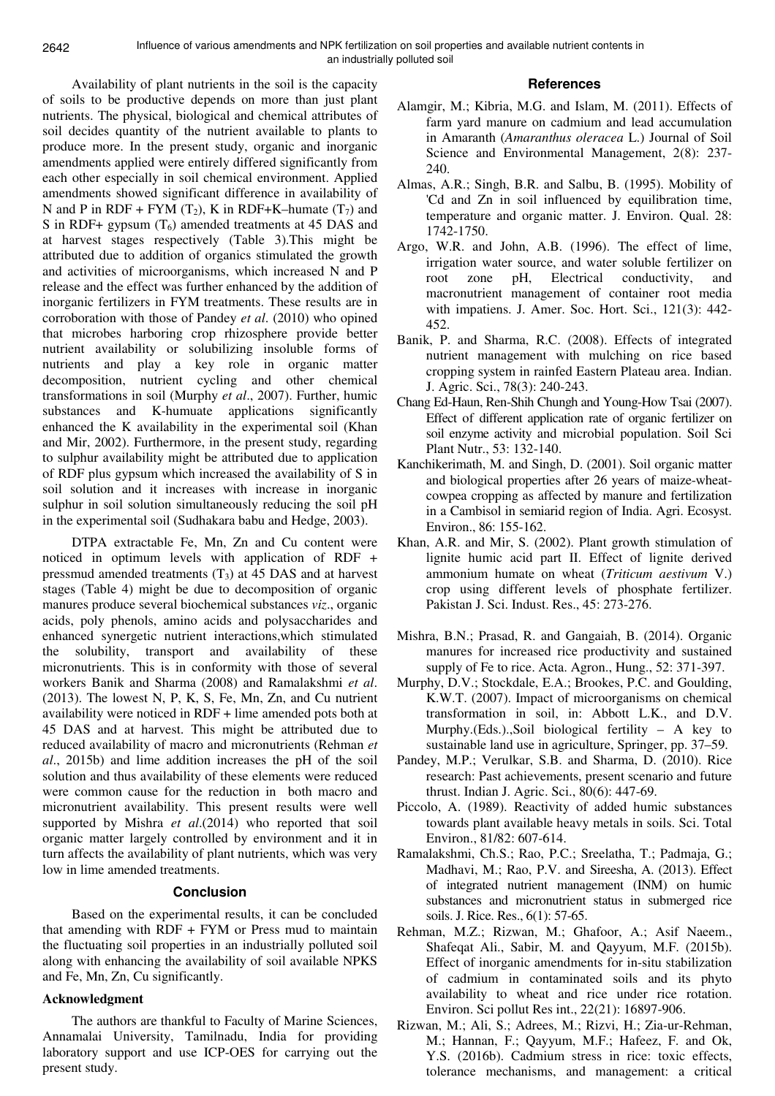2642

Availability of plant nutrients in the soil is the capacity of soils to be productive depends on more than just plant nutrients. The physical, biological and chemical attributes of soil decides quantity of the nutrient available to plants to produce more. In the present study, organic and inorganic amendments applied were entirely differed significantly from each other especially in soil chemical environment. Applied amendments showed significant difference in availability of N and P in RDF + FYM  $(T_2)$ , K in RDF+K–humate  $(T_7)$  and S in RDF+ gypsum  $(T_6)$  amended treatments at 45 DAS and at harvest stages respectively (Table 3).This might be attributed due to addition of organics stimulated the growth and activities of microorganisms, which increased N and P release and the effect was further enhanced by the addition of inorganic fertilizers in FYM treatments. These results are in corroboration with those of Pandey *et al*. (2010) who opined that microbes harboring crop rhizosphere provide better nutrient availability or solubilizing insoluble forms of nutrients and play a key role in organic matter decomposition, nutrient cycling and other chemical transformations in soil (Murphy *et al*., 2007). Further, humic substances and K-humuate applications significantly enhanced the K availability in the experimental soil (Khan and Mir, 2002). Furthermore, in the present study, regarding to sulphur availability might be attributed due to application of RDF plus gypsum which increased the availability of S in soil solution and it increases with increase in inorganic sulphur in soil solution simultaneously reducing the soil pH in the experimental soil (Sudhakara babu and Hedge, 2003).

DTPA extractable Fe, Mn, Zn and Cu content were noticed in optimum levels with application of RDF + pressmud amended treatments  $(T_3)$  at 45 DAS and at harvest stages (Table 4) might be due to decomposition of organic manures produce several biochemical substances *viz*., organic acids, poly phenols, amino acids and polysaccharides and enhanced synergetic nutrient interactions,which stimulated the solubility, transport and availability of these micronutrients. This is in conformity with those of several workers Banik and Sharma (2008) and Ramalakshmi *et al*. (2013). The lowest N, P, K, S, Fe, Mn, Zn, and Cu nutrient availability were noticed in RDF + lime amended pots both at 45 DAS and at harvest. This might be attributed due to reduced availability of macro and micronutrients (Rehman *et al*., 2015b) and lime addition increases the pH of the soil solution and thus availability of these elements were reduced were common cause for the reduction in both macro and micronutrient availability. This present results were well supported by Mishra *et al*.(2014) who reported that soil organic matter largely controlled by environment and it in turn affects the availability of plant nutrients, which was very low in lime amended treatments.

## **Conclusion**

Based on the experimental results, it can be concluded that amending with  $RDF + FYM$  or Press mud to maintain the fluctuating soil properties in an industrially polluted soil along with enhancing the availability of soil available NPKS and Fe, Mn, Zn, Cu significantly.

#### **Acknowledgment**

The authors are thankful to Faculty of Marine Sciences, Annamalai University, Tamilnadu, India for providing laboratory support and use ICP-OES for carrying out the present study.

### **References**

- Alamgir, M.; Kibria, M.G. and Islam, M. (2011). Effects of farm yard manure on cadmium and lead accumulation in Amaranth (*Amaranthus oleracea* L.) Journal of Soil Science and Environmental Management, 2(8): 237- 240
- Almas, A.R.; Singh, B.R. and Salbu, B. (1995). Mobility of 'Cd and Zn in soil influenced by equilibration time, temperature and organic matter. J. Environ. Qual. 28: 1742-1750.
- Argo, W.R. and John, A.B. (1996). The effect of lime, irrigation water source, and water soluble fertilizer on root zone pH, Electrical conductivity, and macronutrient management of container root media with impatiens. J. Amer. Soc. Hort. Sci., 121(3): 442- 452.
- Banik, P. and Sharma, R.C. (2008). Effects of integrated nutrient management with mulching on rice based cropping system in rainfed Eastern Plateau area. Indian. J. Agric. Sci., 78(3): 240-243.
- Chang Ed-Haun, Ren-Shih Chungh and Young-How Tsai (2007). Effect of different application rate of organic fertilizer on soil enzyme activity and microbial population. Soil Sci Plant Nutr., 53: 132-140.
- Kanchikerimath, M. and Singh, D. (2001). Soil organic matter and biological properties after 26 years of maize-wheatcowpea cropping as affected by manure and fertilization in a Cambisol in semiarid region of India. Agri. Ecosyst. Environ., 86: 155-162.
- Khan, A.R. and Mir, S. (2002). Plant growth stimulation of lignite humic acid part II. Effect of lignite derived ammonium humate on wheat (*Triticum aestivum* V.) crop using different levels of phosphate fertilizer. Pakistan J. Sci. Indust. Res., 45: 273-276.
- Mishra, B.N.; Prasad, R. and Gangaiah, B. (2014). Organic manures for increased rice productivity and sustained supply of Fe to rice. Acta. Agron., Hung., 52: 371-397.
- Murphy, D.V.; Stockdale, E.A.; Brookes, P.C. and Goulding, K.W.T. (2007). Impact of microorganisms on chemical transformation in soil, in: Abbott L.K., and D.V. Murphy.(Eds.).,Soil biological fertility  $-$  A key to sustainable land use in agriculture, Springer, pp. 37–59.
- Pandey, M.P.; Verulkar, S.B. and Sharma, D. (2010). Rice research: Past achievements, present scenario and future thrust. Indian J. Agric. Sci., 80(6): 447-69.
- Piccolo, A. (1989). Reactivity of added humic substances towards plant available heavy metals in soils. Sci. Total Environ., 81/82: 607-614.
- Ramalakshmi, Ch.S.; Rao, P.C.; Sreelatha, T.; Padmaja, G.; Madhavi, M.; Rao, P.V. and Sireesha, A. (2013). Effect of integrated nutrient management (INM) on humic substances and micronutrient status in submerged rice soils. J. Rice. Res., 6(1): 57-65.
- Rehman, M.Z.; Rizwan, M.; Ghafoor, A.; Asif Naeem., Shafeqat Ali., Sabir, M. and Qayyum, M.F. (2015b). Effect of inorganic amendments for in-situ stabilization of cadmium in contaminated soils and its phyto availability to wheat and rice under rice rotation. Environ. Sci pollut Res int., 22(21): 16897-906.
- Rizwan, M.; Ali, S.; Adrees, M.; Rizvi, H.; Zia-ur-Rehman, M.; Hannan, F.; Qayyum, M.F.; Hafeez, F. and Ok, Y.S. (2016b). Cadmium stress in rice: toxic effects, tolerance mechanisms, and management: a critical